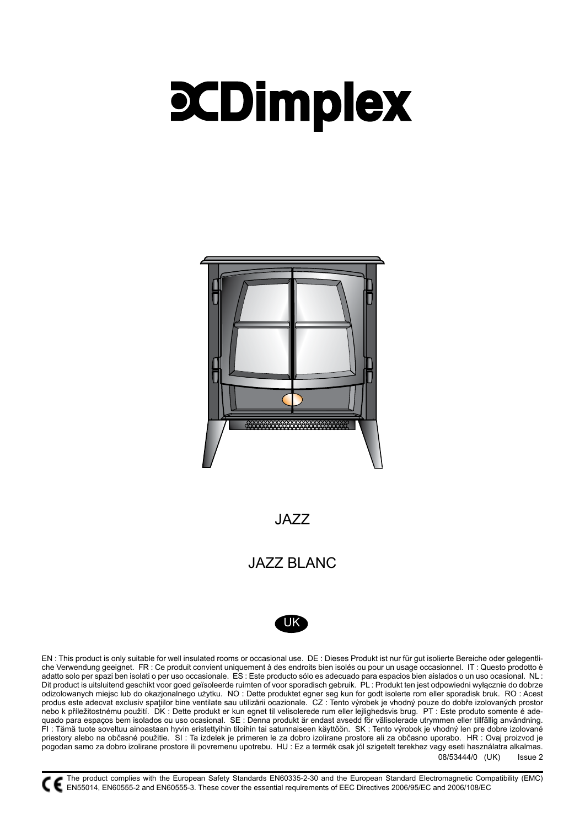# **PCDimplex**



JAZZ

# JAZZ BLANC



08/53444/0 (UK) Issue 2 EN : This product is only suitable for well insulated rooms or occasional use. DE : Dieses Produkt ist nur für gut isolierte Bereiche oder gelegentliche Verwendung geeignet. FR : Ce produit convient uniquement à des endroits bien isolés ou pour un usage occasionnel. IT : Questo prodotto è adatto solo per spazi ben isolati o per uso occasionale. ES : Este producto sólo es adecuado para espacios bien aislados o un uso ocasional. NL : Dit product is uitsluitend geschikt voor goed geïsoleerde ruimten of voor sporadisch gebruik. PL : Produkt ten jest odpowiedni wyłącznie do dobrze odizolowanych miejsc lub do okazjonalnego użytku. NO : Dette produktet egner seg kun for godt isolerte rom eller sporadisk bruk. RO : Acest produs este adecvat exclusiv spaţiilor bine ventilate sau utilizării ocazionale. CZ : Tento výrobek je vhodný pouze do dobře izolovaných prostor nebo k příležitostnému použití. DK : Dette produkt er kun egnet til velisolerede rum eller lejlighedsvis brug. PT : Este produto somente é adequado para espaços bem isolados ou uso ocasional. SE : Denna produkt är endast avsedd för välisolerade utrymmen eller tillfällig användning. FI : Tämä tuote soveltuu ainoastaan hyvin eristettyihin tiloihin tai satunnaiseen käyttöön. SK : Tento výrobok je vhodný len pre dobre izolované priestory alebo na občasné použitie. SI : Ta izdelek je primeren le za dobro izolirane prostore ali za občasno uporabo. HR : Ovaj proizvod je pogodan samo za dobro izolirane prostore ili povremenu upotrebu. HU : Ez a termék csak jól szigetelt terekhez vagy eseti használatra alkalmas.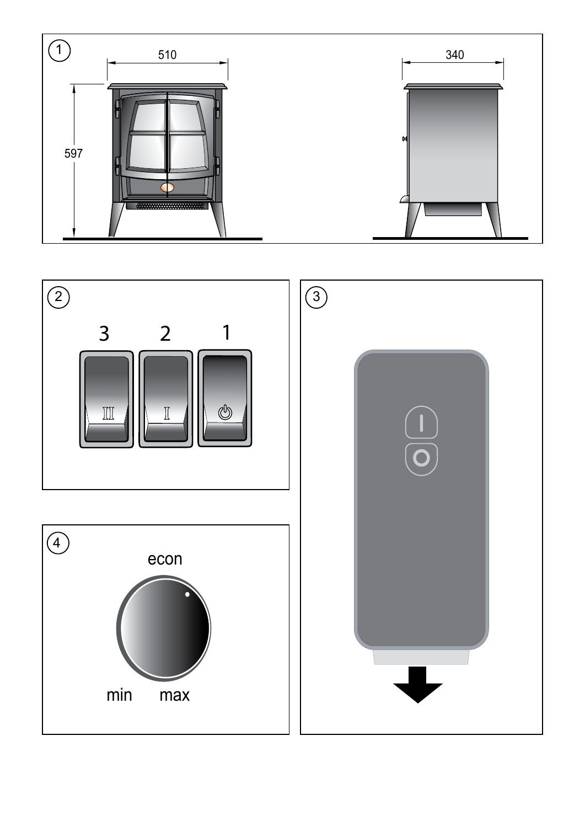

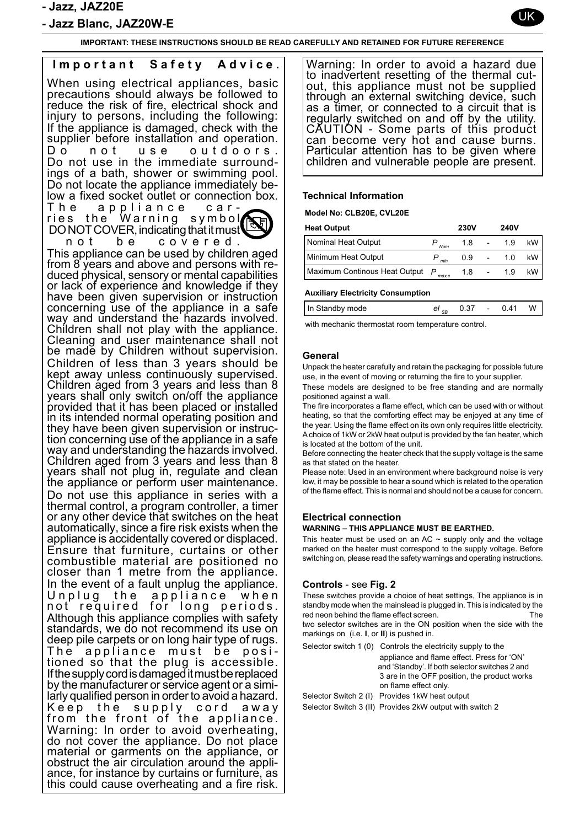- Jazz Blanc, JAZ20W-E

**IMPORTANT: THESE INSTRUCTIONS SHOULD BE READ CAREFULLY AND RETAINED FOR FUTURE REFERENCE**

# **Important Safety Advice.** When using electrical appliances, basic precautions should always be followed to reduce the risk of fire, electrical shock and injury to persons, including the following: If the appliance is damaged, check with the supplier before installation and operation. Do not use outdoors. Do not use in the immediate surround- ings of a bath, shower or swimming pool. Do not locate the appliance immediately be- low a fixed socket outlet or connection box. The appliance car-<br>ries the Warning symbol DO NOT COVER, indicating that it must not be covered. This appliance can be used by children aged from 8 years and above and persons with re- duced physical, sensory or mental capabilities or lack of experience and knowledge if they have been given supervision or instruction concerning use of the appliance in a safe way and understand the hazards involved. Children shall not play with the appliance. Cleaning and user maintenance shall not be made by Children without supervision. Children of less than 3 years should be kept away unless continuously supervised. Children aged from 3 years and less than 8 years shall only switch on/off the appliance provided that it has been placed or installed in its intended normal operating position and tion concerning use of the appliance in a safe way and understanding the hazards involved. Children aged from 3 years and less than 8 years shall not plug in, regulate and clean the appliance or perform user maintenance. Do not use this appliance in series with a thermal control, a program controller, a timer or any other device that switches on the heat automatically, since a fire risk exists when the appliance is accidentally covered or displaced. Ensure that furniture, curtains or other combustible material are positioned no closer than 1 metre from the appliance. In the event of a fault unplug the appliance.<br>Unplug the appliance when Unplug the not required for long periods. Although this appliance complies with safety standards, we do not recommend its use on deep pile carpets or on long hair type of rugs. The appliance must be posi-<br>tioned so that the plug is accessible. If the supply cord is damaged it must be replaced by the manufacturer or service agent or a simi- larly qualified person in order to avoid a hazard. Keep the supply cord away from the front of the appliance. Warning: In order to avoid overheating, do not cover the appliance. Do not place material or garments on the appliance, or ance, for instance by curtains or furniture, as this could cause overheating and a fire risk.

Warning: In order to avoid a hazard due to inadvertent resetting of the thermal cutout, this appliance must not be supplied through an external switching device, such as a timer, or connected to a circuit that is regularly switched on and off by the utility. CAUTION - Some parts of this product can become very hot and cause burns. Particular attention has to be given where children and vulnerable people are present.

### **Technical Information**

**Model No: CLB20E, CVL20E**

| <b>Heat Output</b>            |       | <b>230V</b> | <b>240V</b> |     |
|-------------------------------|-------|-------------|-------------|-----|
| Nominal Heat Output           | Nom   | 1.8         | 1.9         | kW. |
| Minimum Heat Output           | min   | 0.9         | 1.0         | kW. |
| Maximum Continous Heat Output | max.c | 1.8         | 19          | kW. |

#### **Auxiliary Electricity Consumption**

| In Standby mode |  | el <sub>se</sub> 0.37 - 0.41 W |  |
|-----------------|--|--------------------------------|--|
|                 |  |                                |  |

with mechanic thermostat room temperature control.

#### **General**

Unpack the heater carefully and retain the packaging for possible future use, in the event of moving or returning the fire to your supplier.

These models are designed to be free standing and are normally positioned against a wall.

.<br>The fire incorporates a flame effect, which can be used with or without heating, so that the comforting effect may be enjoyed at any time of the year. Using the flame effect on its own only requires little electricity. A choice of 1kW or 2kW heat output is provided by the fan heater, which is located at the bottom of the unit.

Before connecting the heater check that the supply voltage is the same as that stated on the heater.

Please note: Used in an environment where background noise is very low, it may be possible to hear a sound which is related to the operation of the flame effect. This is normal and should not be a cause for concern.

#### **Electrical connection**

#### **WARNING – THIS APPLIANCE MUST BE EARTHED.**

This heater must be used on an AC  $\sim$  supply only and the voltage marked on the heater must correspond to the supply voltage. Before switching on, please read the safety warnings and operating instructions.

# **Controls** - see **Fig. 2**

These switches provide a choice of heat settings, The appliance is in standby mode when the mainslead is plugged in. This is indicated by the red neon behind the flame effect screen. The two selector switches are in the ON position when the side with the markings on (i.e. **I**, or **II**) is pushed in.

| Selector switch 1 (0) Controls the electricity supply to the |
|--------------------------------------------------------------|
| appliance and flame effect. Press for 'ON'                   |
| and 'Standby'. If both selector switches 2 and               |
| 3 are in the OFF position, the product works                 |
| on flame effect only.                                        |
| Selector Switch 2 (I) Provides 1kW heat output               |

Selector Switch 3 (II) Provides 2kW output with switch 2